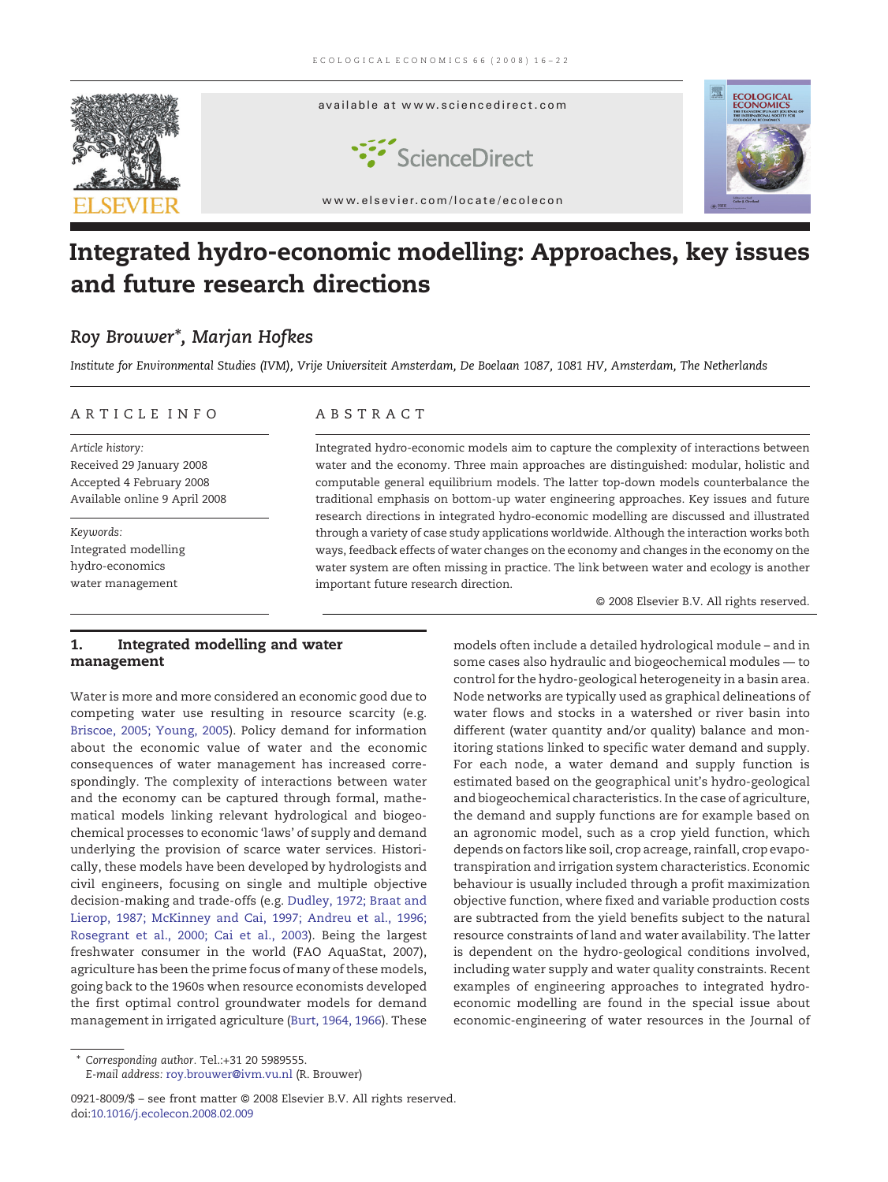

# Integrated hydro-economic modelling: Approaches, key issues and future research directions

## Roy Brouwer⁎, Marjan Hofkes

Institute for Environmental Studies (IVM), Vrije Universiteit Amsterdam, De Boelaan 1087, 1081 HV, Amsterdam, The Netherlands

#### ARTICLE INFO ABSTRACT

Article history: Received 29 January 2008 Accepted 4 February 2008 Available online 9 April 2008

Keywords: Integrated modelling hydro-economics water management

Integrated hydro-economic models aim to capture the complexity of interactions between water and the economy. Three main approaches are distinguished: modular, holistic and computable general equilibrium models. The latter top-down models counterbalance the traditional emphasis on bottom-up water engineering approaches. Key issues and future research directions in integrated hydro-economic modelling are discussed and illustrated through a variety of case study applications worldwide. Although the interaction works both ways, feedback effects of water changes on the economy and changes in the economy on the water system are often missing in practice. The link between water and ecology is another important future research direction.

© 2008 Elsevier B.V. All rights reserved.

#### 1. Integrated modelling and water management

Water is more and more considered an economic good due to competing water use resulting in resource scarcity (e.g. [Briscoe, 2005; Young, 2005\)](#page-5-0). Policy demand for information about the economic value of water and the economic consequences of water management has increased correspondingly. The complexity of interactions between water and the economy can be captured through formal, mathematical models linking relevant hydrological and biogeochemical processes to economic 'laws' of supply and demand underlying the provision of scarce water services. Historically, these models have been developed by hydrologists and civil engineers, focusing on single and multiple objective decision-making and trade-offs (e.g. [Dudley, 1972; Braat and](#page-5-0) [Lierop, 1987; McKinney and Cai, 1997; Andreu et al., 1996;](#page-5-0) [Rosegrant et al., 2000; Cai et al., 2003\)](#page-5-0). Being the largest freshwater consumer in the world (FAO AquaStat, 2007), agriculture has been the prime focus of many of these models, going back to the 1960s when resource economists developed the first optimal control groundwater models for demand management in irrigated agriculture [\(Burt, 1964, 1966\)](#page-5-0). These

control for the hydro-geological heterogeneity in a basin area. Node networks are typically used as graphical delineations of water flows and stocks in a watershed or river basin into different (water quantity and/or quality) balance and monitoring stations linked to specific water demand and supply. For each node, a water demand and supply function is estimated based on the geographical unit's hydro-geological and biogeochemical characteristics. In the case of agriculture, the demand and supply functions are for example based on an agronomic model, such as a crop yield function, which depends on factors like soil, crop acreage, rainfall, crop evapotranspiration and irrigation system characteristics. Economic behaviour is usually included through a profit maximization objective function, where fixed and variable production costs are subtracted from the yield benefits subject to the natural resource constraints of land and water availability. The latter is dependent on the hydro-geological conditions involved, including water supply and water quality constraints. Recent examples of engineering approaches to integrated hydroeconomic modelling are found in the special issue about economic-engineering of water resources in the Journal of

models often include a detailed hydrological module – and in some cases also hydraulic and biogeochemical modules — to

⁎ Corresponding author. Tel.:+31 20 5989555. E-mail address: [roy.brouwer@ivm.vu.nl](mailto:roy.brouwer@ivm.vu.nl) (R. Brouwer)

0921-8009/\$ – see front matter © 2008 Elsevier B.V. All rights reserved. doi:[10.1016/j.ecolecon.2008.02.009](http://dx.doi.org/10.1016/j.ecolecon.2008.02.009)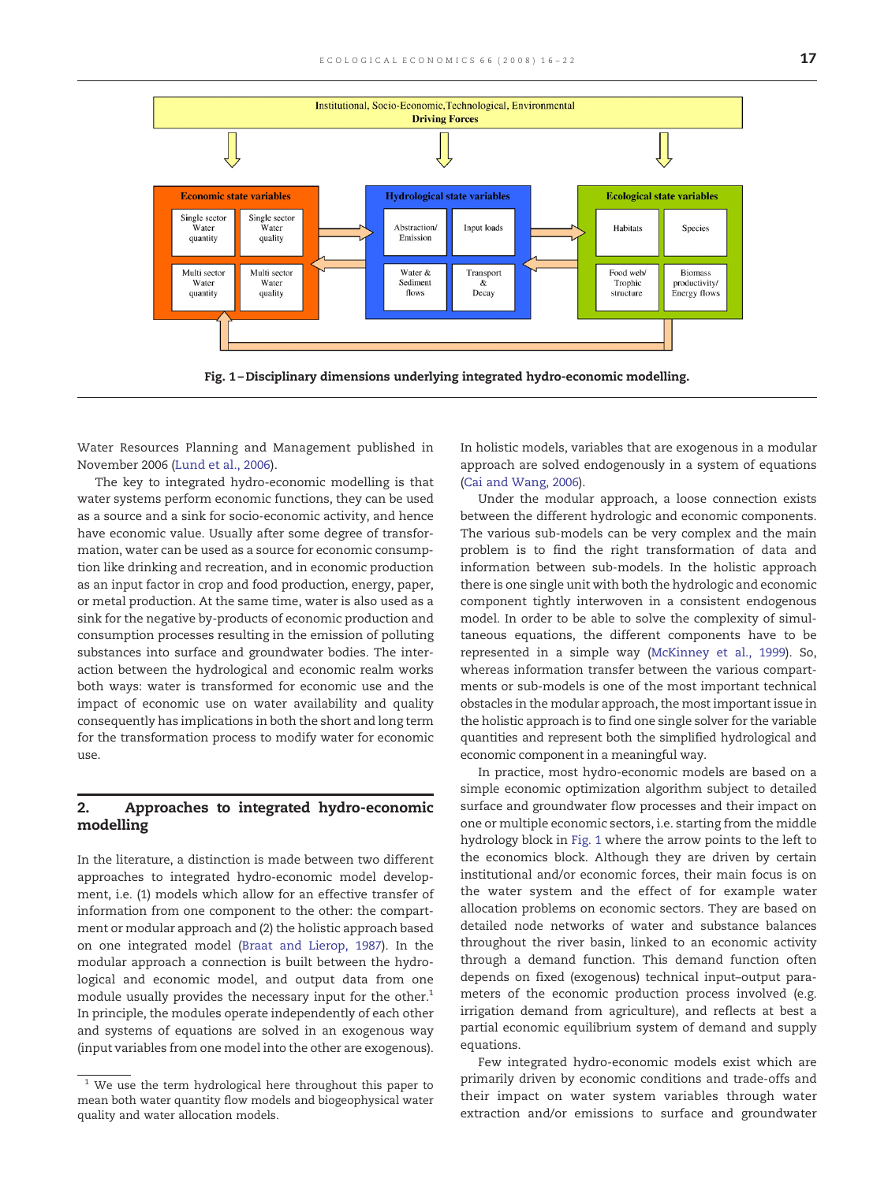<span id="page-1-0"></span>

Fig. 1 – Disciplinary dimensions underlying integrated hydro-economic modelling.

Water Resources Planning and Management published in November 2006 ([Lund et al., 2006](#page-5-0)).

The key to integrated hydro-economic modelling is that water systems perform economic functions, they can be used as a source and a sink for socio-economic activity, and hence have economic value. Usually after some degree of transformation, water can be used as a source for economic consumption like drinking and recreation, and in economic production as an input factor in crop and food production, energy, paper, or metal production. At the same time, water is also used as a sink for the negative by-products of economic production and consumption processes resulting in the emission of polluting substances into surface and groundwater bodies. The interaction between the hydrological and economic realm works both ways: water is transformed for economic use and the impact of economic use on water availability and quality consequently has implications in both the short and long term for the transformation process to modify water for economic use.

### 2. Approaches to integrated hydro-economic modelling

In the literature, a distinction is made between two different approaches to integrated hydro-economic model development, i.e. (1) models which allow for an effective transfer of information from one component to the other: the compartment or modular approach and (2) the holistic approach based on one integrated model [\(Braat and Lierop, 1987](#page-5-0)). In the modular approach a connection is built between the hydrological and economic model, and output data from one module usually provides the necessary input for the other.<sup>1</sup> In principle, the modules operate independently of each other and systems of equations are solved in an exogenous way (input variables from one model into the other are exogenous).

In holistic models, variables that are exogenous in a modular approach are solved endogenously in a system of equations [\(Cai and Wang, 2006](#page-5-0)).

Under the modular approach, a loose connection exists between the different hydrologic and economic components. The various sub-models can be very complex and the main problem is to find the right transformation of data and information between sub-models. In the holistic approach there is one single unit with both the hydrologic and economic component tightly interwoven in a consistent endogenous model. In order to be able to solve the complexity of simultaneous equations, the different components have to be represented in a simple way ([McKinney et al., 1999\)](#page-6-0). So, whereas information transfer between the various compartments or sub-models is one of the most important technical obstacles in the modular approach, the most important issue in the holistic approach is to find one single solver for the variable quantities and represent both the simplified hydrological and economic component in a meaningful way.

In practice, most hydro-economic models are based on a simple economic optimization algorithm subject to detailed surface and groundwater flow processes and their impact on one or multiple economic sectors, i.e. starting from the middle hydrology block in Fig. 1 where the arrow points to the left to the economics block. Although they are driven by certain institutional and/or economic forces, their main focus is on the water system and the effect of for example water allocation problems on economic sectors. They are based on detailed node networks of water and substance balances throughout the river basin, linked to an economic activity through a demand function. This demand function often depends on fixed (exogenous) technical input–output parameters of the economic production process involved (e.g. irrigation demand from agriculture), and reflects at best a partial economic equilibrium system of demand and supply equations.

Few integrated hydro-economic models exist which are primarily driven by economic conditions and trade-offs and their impact on water system variables through water extraction and/or emissions to surface and groundwater

<sup>&</sup>lt;sup>1</sup> We use the term hydrological here throughout this paper to mean both water quantity flow models and biogeophysical water quality and water allocation models.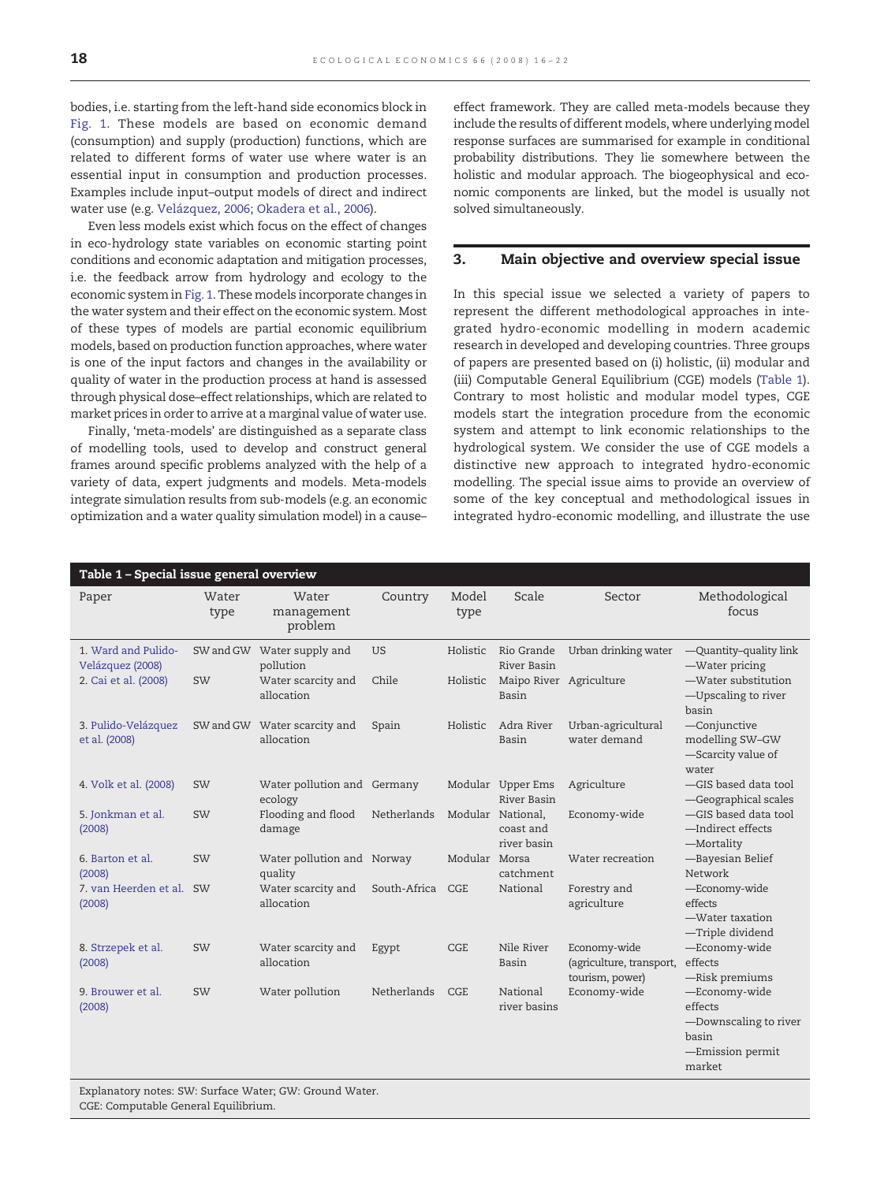bodies, i.e. starting from the left-hand side economics block in [Fig. 1.](#page-1-0) These models are based on economic demand (consumption) and supply (production) functions, which are related to different forms of water use where water is an essential input in consumption and production processes. Examples include input–output models of direct and indirect water use (e.g. [Velázquez, 2006; Okadera et al., 2006](#page-6-0)).

Even less models exist which focus on the effect of changes in eco-hydrology state variables on economic starting point conditions and economic adaptation and mitigation processes, i.e. the feedback arrow from hydrology and ecology to the economic system in [Fig. 1.](#page-1-0) These models incorporate changes in the water system and their effect on the economic system. Most of these types of models are partial economic equilibrium models, based on production function approaches, where water is one of the input factors and changes in the availability or quality of water in the production process at hand is assessed through physical dose–effect relationships, which are related to market prices in order to arrive at a marginal value of water use.

Finally, 'meta-models' are distinguished as a separate class of modelling tools, used to develop and construct general frames around specific problems analyzed with the help of a variety of data, expert judgments and models. Meta-models integrate simulation results from sub-models (e.g. an economic optimization and a water quality simulation model) in a cause–

effect framework. They are called meta-models because they include the results of different models, where underlying model response surfaces are summarised for example in conditional probability distributions. They lie somewhere between the holistic and modular approach. The biogeophysical and economic components are linked, but the model is usually not solved simultaneously.

#### 3. Main objective and overview special issue

In this special issue we selected a variety of papers to represent the different methodological approaches in integrated hydro-economic modelling in modern academic research in developed and developing countries. Three groups of papers are presented based on (i) holistic, (ii) modular and (iii) Computable General Equilibrium (CGE) models (Table 1). Contrary to most holistic and modular model types, CGE models start the integration procedure from the economic system and attempt to link economic relationships to the hydrological system. We consider the use of CGE models a distinctive new approach to integrated hydro-economic modelling. The special issue aims to provide an overview of some of the key conceptual and methodological issues in integrated hydro-economic modelling, and illustrate the use

| Table 1 - Special issue general overview                                                        |               |                                            |              |               |                                               |                                                             |                                                                                          |
|-------------------------------------------------------------------------------------------------|---------------|--------------------------------------------|--------------|---------------|-----------------------------------------------|-------------------------------------------------------------|------------------------------------------------------------------------------------------|
| Paper                                                                                           | Water<br>type | Water<br>management<br>problem             | Country      | Model<br>type | Scale                                         | Sector                                                      | Methodological<br>focus                                                                  |
| 1. Ward and Pulido-<br>Velázquez (2008)                                                         |               | SW and GW Water supply and<br>pollution    | <b>US</b>    | Holistic      | Rio Grande<br><b>River Basin</b>              | Urban drinking water                                        | -Quantity-quality link<br>-Water pricing                                                 |
| 2. Cai et al. (2008)                                                                            | <b>SW</b>     | Water scarcity and<br>allocation           | Chile        | Holistic      | Maipo River Agriculture<br><b>Basin</b>       |                                                             | -Water substitution<br>-Upscaling to river<br>basin                                      |
| 3. Pulido-Velázquez<br>et al. (2008)                                                            |               | SW and GW Water scarcity and<br>allocation | Spain        | Holistic      | Adra River<br><b>Basin</b>                    | Urban-agricultural<br>water demand                          | -Conjunctive<br>modelling SW-GW<br>-Scarcity value of<br>water                           |
| 4. Volk et al. (2008)                                                                           | <b>SW</b>     | Water pollution and Germany<br>ecology     |              |               | Modular Upper Ems<br>River Basin              | Agriculture                                                 | -GIS based data tool<br>-Geographical scales                                             |
| 5. Jonkman et al.<br>(2008)                                                                     | <b>SW</b>     | Flooding and flood<br>damage               | Netherlands  |               | Modular National,<br>coast and<br>river basin | Economy-wide                                                | -GIS based data tool<br>-Indirect effects<br>-Mortality                                  |
| 6. Barton et al.<br>(2008)                                                                      | <b>SW</b>     | Water pollution and Norway<br>quality      |              | Modular Morsa | catchment                                     | Water recreation                                            | -Bayesian Belief<br>Network                                                              |
| 7. van Heerden et al. SW<br>(2008)                                                              |               | Water scarcity and<br>allocation           | South-Africa | CGE           | National                                      | Forestry and<br>agriculture                                 | -Economy-wide<br>effects<br>—Water taxation<br>-Triple dividend                          |
| 8. Strzepek et al.<br>(2008)                                                                    | <b>SW</b>     | Water scarcity and<br>allocation           | Egypt        | <b>CGE</b>    | Nile River<br><b>Basin</b>                    | Economy-wide<br>(agriculture, transport,<br>tourism, power) | -Economy-wide<br>effects<br>-Risk premiums                                               |
| 9. Brouwer et al.<br>(2008)                                                                     | <b>SW</b>     | Water pollution                            | Netherlands  | <b>CGE</b>    | National<br>river basins                      | Economy-wide                                                | -Economy-wide<br>effects<br>-Downscaling to river<br>basin<br>-Emission permit<br>market |
| Explanatory notes: SW: Surface Water; GW: Ground Water.<br>CGE: Computable General Equilibrium. |               |                                            |              |               |                                               |                                                             |                                                                                          |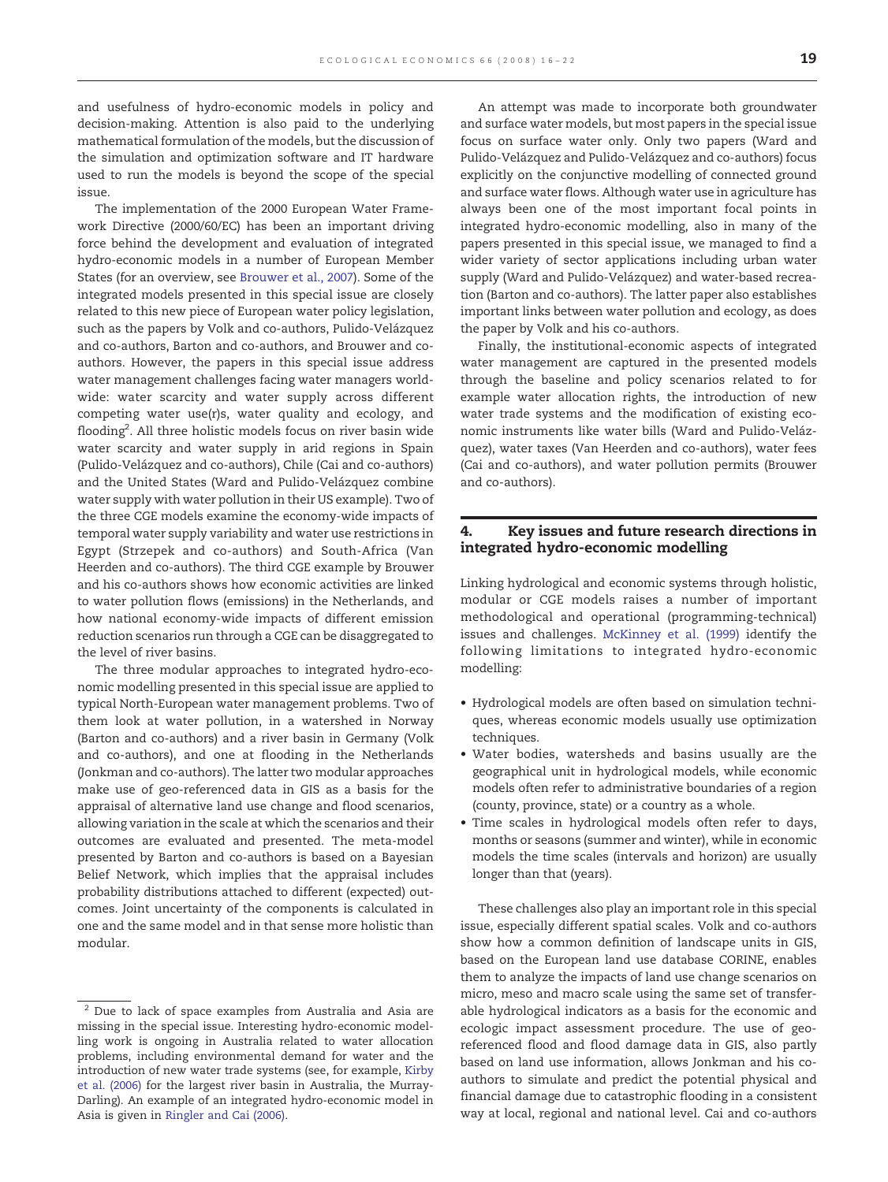used to run the models is beyond the scope of the special

issue. The implementation of the 2000 European Water Framework Directive (2000/60/EC) has been an important driving force behind the development and evaluation of integrated hydro-economic models in a number of European Member States (for an overview, see [Brouwer et al., 2007](#page-5-0)). Some of the integrated models presented in this special issue are closely related to this new piece of European water policy legislation, such as the papers by Volk and co-authors, Pulido-Velázquez and co-authors, Barton and co-authors, and Brouwer and coauthors. However, the papers in this special issue address water management challenges facing water managers worldwide: water scarcity and water supply across different competing water use(r)s, water quality and ecology, and flooding $^2$ . All three holistic models focus on river basin wide water scarcity and water supply in arid regions in Spain (Pulido-Velázquez and co-authors), Chile (Cai and co-authors) and the United States (Ward and Pulido-Velázquez combine water supply with water pollution in their US example). Two of the three CGE models examine the economy-wide impacts of temporal water supply variability and water use restrictions in Egypt (Strzepek and co-authors) and South-Africa (Van Heerden and co-authors). The third CGE example by Brouwer and his co-authors shows how economic activities are linked to water pollution flows (emissions) in the Netherlands, and how national economy-wide impacts of different emission reduction scenarios run through a CGE can be disaggregated to the level of river basins.

The three modular approaches to integrated hydro-economic modelling presented in this special issue are applied to typical North-European water management problems. Two of them look at water pollution, in a watershed in Norway (Barton and co-authors) and a river basin in Germany (Volk and co-authors), and one at flooding in the Netherlands (Jonkman and co-authors). The latter two modular approaches make use of geo-referenced data in GIS as a basis for the appraisal of alternative land use change and flood scenarios, allowing variation in the scale at which the scenarios and their outcomes are evaluated and presented. The meta-model presented by Barton and co-authors is based on a Bayesian Belief Network, which implies that the appraisal includes probability distributions attached to different (expected) outcomes. Joint uncertainty of the components is calculated in one and the same model and in that sense more holistic than modular.

An attempt was made to incorporate both groundwater and surface water models, but most papers in the special issue focus on surface water only. Only two papers (Ward and Pulido-Velázquez and Pulido-Velázquez and co-authors) focus explicitly on the conjunctive modelling of connected ground and surface water flows. Although water use in agriculture has always been one of the most important focal points in integrated hydro-economic modelling, also in many of the papers presented in this special issue, we managed to find a wider variety of sector applications including urban water supply (Ward and Pulido-Velázquez) and water-based recreation (Barton and co-authors). The latter paper also establishes important links between water pollution and ecology, as does the paper by Volk and his co-authors.

Finally, the institutional-economic aspects of integrated water management are captured in the presented models through the baseline and policy scenarios related to for example water allocation rights, the introduction of new water trade systems and the modification of existing economic instruments like water bills (Ward and Pulido-Velázquez), water taxes (Van Heerden and co-authors), water fees (Cai and co-authors), and water pollution permits (Brouwer and co-authors).

#### 4. Key issues and future research directions in integrated hydro-economic modelling

Linking hydrological and economic systems through holistic, modular or CGE models raises a number of important methodological and operational (programming-technical) issues and challenges. [McKinney et al. \(1999\)](#page-6-0) identify the following limitations to integrated hydro-economic modelling:

- Hydrological models are often based on simulation techniques, whereas economic models usually use optimization techniques.
- Water bodies, watersheds and basins usually are the geographical unit in hydrological models, while economic models often refer to administrative boundaries of a region (county, province, state) or a country as a whole.
- Time scales in hydrological models often refer to days, months or seasons (summer and winter), while in economic models the time scales (intervals and horizon) are usually longer than that (years).

These challenges also play an important role in this special issue, especially different spatial scales. Volk and co-authors show how a common definition of landscape units in GIS, based on the European land use database CORINE, enables them to analyze the impacts of land use change scenarios on micro, meso and macro scale using the same set of transferable hydrological indicators as a basis for the economic and ecologic impact assessment procedure. The use of georeferenced flood and flood damage data in GIS, also partly based on land use information, allows Jonkman and his coauthors to simulate and predict the potential physical and financial damage due to catastrophic flooding in a consistent way at local, regional and national level. Cai and co-authors

<sup>2</sup> Due to lack of space examples from Australia and Asia are missing in the special issue. Interesting hydro-economic modelling work is ongoing in Australia related to water allocation problems, including environmental demand for water and the introduction of new water trade systems (see, for example, [Kirby](#page-5-0) [et al. \(2006\)](#page-5-0) for the largest river basin in Australia, the Murray-Darling). An example of an integrated hydro-economic model in Asia is given in [Ringler and Cai \(2006\)](#page-6-0).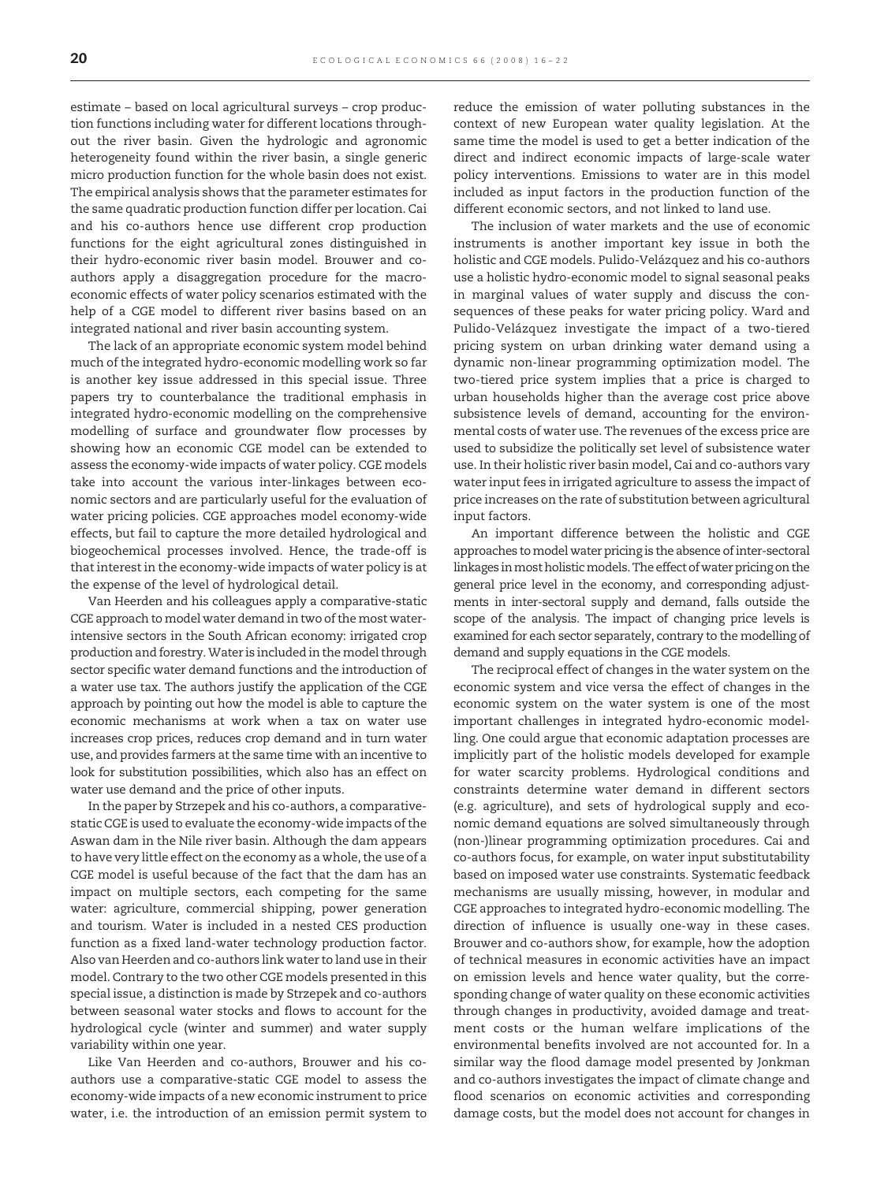estimate – based on local agricultural surveys – crop production functions including water for different locations throughout the river basin. Given the hydrologic and agronomic heterogeneity found within the river basin, a single generic micro production function for the whole basin does not exist. The empirical analysis shows that the parameter estimates for the same quadratic production function differ per location. Cai and his co-authors hence use different crop production functions for the eight agricultural zones distinguished in their hydro-economic river basin model. Brouwer and coauthors apply a disaggregation procedure for the macroeconomic effects of water policy scenarios estimated with the help of a CGE model to different river basins based on an integrated national and river basin accounting system.

The lack of an appropriate economic system model behind much of the integrated hydro-economic modelling work so far is another key issue addressed in this special issue. Three papers try to counterbalance the traditional emphasis in integrated hydro-economic modelling on the comprehensive modelling of surface and groundwater flow processes by showing how an economic CGE model can be extended to assess the economy-wide impacts of water policy. CGE models take into account the various inter-linkages between economic sectors and are particularly useful for the evaluation of water pricing policies. CGE approaches model economy-wide effects, but fail to capture the more detailed hydrological and biogeochemical processes involved. Hence, the trade-off is that interest in the economy-wide impacts of water policy is at the expense of the level of hydrological detail.

Van Heerden and his colleagues apply a comparative-static CGE approach to model water demand in two of the most waterintensive sectors in the South African economy: irrigated crop production and forestry.Water is included in the model through sector specific water demand functions and the introduction of a water use tax. The authors justify the application of the CGE approach by pointing out how the model is able to capture the economic mechanisms at work when a tax on water use increases crop prices, reduces crop demand and in turn water use, and provides farmers at the same time with an incentive to look for substitution possibilities, which also has an effect on water use demand and the price of other inputs.

In the paper by Strzepek and his co-authors, a comparativestatic CGE is used to evaluate the economy-wide impacts of the Aswan dam in the Nile river basin. Although the dam appears to have very little effect on the economy as a whole, the use of a CGE model is useful because of the fact that the dam has an impact on multiple sectors, each competing for the same water: agriculture, commercial shipping, power generation and tourism. Water is included in a nested CES production function as a fixed land-water technology production factor. Also van Heerden and co-authors link water to land use in their model. Contrary to the two other CGE models presented in this special issue, a distinction is made by Strzepek and co-authors between seasonal water stocks and flows to account for the hydrological cycle (winter and summer) and water supply variability within one year.

Like Van Heerden and co-authors, Brouwer and his coauthors use a comparative-static CGE model to assess the economy-wide impacts of a new economic instrument to price water, i.e. the introduction of an emission permit system to

reduce the emission of water polluting substances in the context of new European water quality legislation. At the same time the model is used to get a better indication of the direct and indirect economic impacts of large-scale water policy interventions. Emissions to water are in this model included as input factors in the production function of the different economic sectors, and not linked to land use.

The inclusion of water markets and the use of economic instruments is another important key issue in both the holistic and CGE models. Pulido-Velázquez and his co-authors use a holistic hydro-economic model to signal seasonal peaks in marginal values of water supply and discuss the consequences of these peaks for water pricing policy. Ward and Pulido-Velázquez investigate the impact of a two-tiered pricing system on urban drinking water demand using a dynamic non-linear programming optimization model. The two-tiered price system implies that a price is charged to urban households higher than the average cost price above subsistence levels of demand, accounting for the environmental costs of water use. The revenues of the excess price are used to subsidize the politically set level of subsistence water use. In their holistic river basin model, Cai and co-authors vary water input fees in irrigated agriculture to assess the impact of price increases on the rate of substitution between agricultural input factors.

An important difference between the holistic and CGE approaches tomodel water pricing is the absence of inter-sectoral linkages in most holistic models. The effect of water pricing on the general price level in the economy, and corresponding adjustments in inter-sectoral supply and demand, falls outside the scope of the analysis. The impact of changing price levels is examined for each sector separately, contrary to the modelling of demand and supply equations in the CGE models.

The reciprocal effect of changes in the water system on the economic system and vice versa the effect of changes in the economic system on the water system is one of the most important challenges in integrated hydro-economic modelling. One could argue that economic adaptation processes are implicitly part of the holistic models developed for example for water scarcity problems. Hydrological conditions and constraints determine water demand in different sectors (e.g. agriculture), and sets of hydrological supply and economic demand equations are solved simultaneously through (non-)linear programming optimization procedures. Cai and co-authors focus, for example, on water input substitutability based on imposed water use constraints. Systematic feedback mechanisms are usually missing, however, in modular and CGE approaches to integrated hydro-economic modelling. The direction of influence is usually one-way in these cases. Brouwer and co-authors show, for example, how the adoption of technical measures in economic activities have an impact on emission levels and hence water quality, but the corresponding change of water quality on these economic activities through changes in productivity, avoided damage and treatment costs or the human welfare implications of the environmental benefits involved are not accounted for. In a similar way the flood damage model presented by Jonkman and co-authors investigates the impact of climate change and flood scenarios on economic activities and corresponding damage costs, but the model does not account for changes in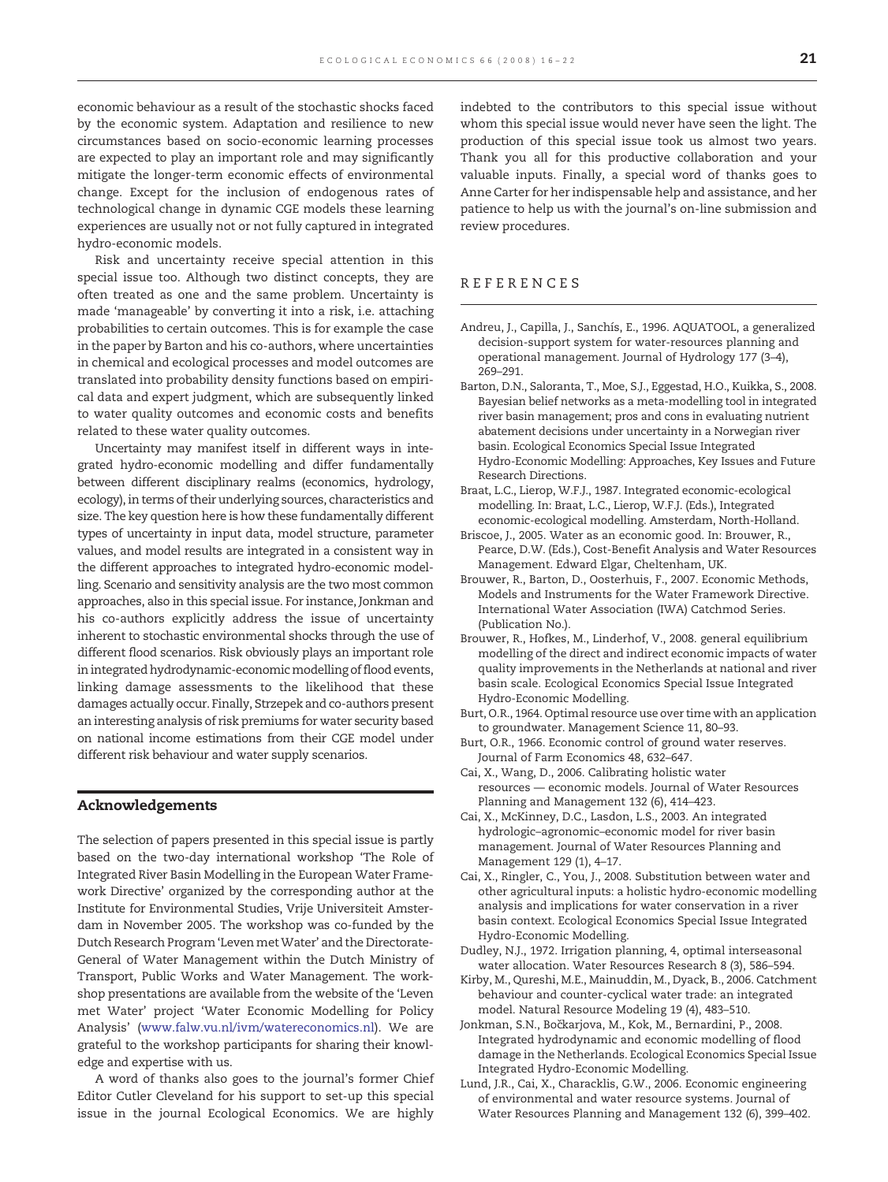<span id="page-5-0"></span>economic behaviour as a result of the stochastic shocks faced by the economic system. Adaptation and resilience to new circumstances based on socio-economic learning processes are expected to play an important role and may significantly mitigate the longer-term economic effects of environmental change. Except for the inclusion of endogenous rates of technological change in dynamic CGE models these learning experiences are usually not or not fully captured in integrated hydro-economic models.

Risk and uncertainty receive special attention in this special issue too. Although two distinct concepts, they are often treated as one and the same problem. Uncertainty is made 'manageable' by converting it into a risk, i.e. attaching probabilities to certain outcomes. This is for example the case in the paper by Barton and his co-authors, where uncertainties in chemical and ecological processes and model outcomes are translated into probability density functions based on empirical data and expert judgment, which are subsequently linked to water quality outcomes and economic costs and benefits related to these water quality outcomes.

Uncertainty may manifest itself in different ways in integrated hydro-economic modelling and differ fundamentally between different disciplinary realms (economics, hydrology, ecology), in terms of their underlying sources, characteristics and size. The key question here is how these fundamentally different types of uncertainty in input data, model structure, parameter values, and model results are integrated in a consistent way in the different approaches to integrated hydro-economic modelling. Scenario and sensitivity analysis are the two most common approaches, also in this special issue. For instance, Jonkman and his co-authors explicitly address the issue of uncertainty inherent to stochastic environmental shocks through the use of different flood scenarios. Risk obviously plays an important role in integrated hydrodynamic-economic modelling of flood events, linking damage assessments to the likelihood that these damages actually occur. Finally, Strzepek and co-authors present an interesting analysis of risk premiums for water security based on national income estimations from their CGE model under different risk behaviour and water supply scenarios.

#### Acknowledgements

The selection of papers presented in this special issue is partly based on the two-day international workshop 'The Role of Integrated River Basin Modelling in the European Water Framework Directive' organized by the corresponding author at the Institute for Environmental Studies, Vrije Universiteit Amsterdam in November 2005. The workshop was co-funded by the Dutch Research Program'Leven metWater' and the Directorate-General of Water Management within the Dutch Ministry of Transport, Public Works and Water Management. The workshop presentations are available from the website of the 'Leven met Water' project 'Water Economic Modelling for Policy Analysis' (<www.falw.vu.nl/ivm/watereconomics.nl>). We are grateful to the workshop participants for sharing their knowledge and expertise with us.

A word of thanks also goes to the journal's former Chief Editor Cutler Cleveland for his support to set-up this special issue in the journal Ecological Economics. We are highly

indebted to the contributors to this special issue without whom this special issue would never have seen the light. The production of this special issue took us almost two years. Thank you all for this productive collaboration and your valuable inputs. Finally, a special word of thanks goes to Anne Carter for her indispensable help and assistance, and her patience to help us with the journal's on-line submission and review procedures.

#### REFERENCES

- Andreu, J., Capilla, J., Sanchís, E., 1996. AQUATOOL, a generalized decision-support system for water-resources planning and operational management. Journal of Hydrology 177 (3–4), 269–291.
- Barton, D.N., Saloranta, T., Moe, S.J., Eggestad, H.O., Kuikka, S., 2008. Bayesian belief networks as a meta-modelling tool in integrated river basin management; pros and cons in evaluating nutrient abatement decisions under uncertainty in a Norwegian river basin. Ecological Economics Special Issue Integrated Hydro-Economic Modelling: Approaches, Key Issues and Future Research Directions.
- Braat, L.C., Lierop, W.F.J., 1987. Integrated economic-ecological modelling. In: Braat, L.C., Lierop, W.F.J. (Eds.), Integrated economic-ecological modelling. Amsterdam, North-Holland.
- Briscoe, J., 2005. Water as an economic good. In: Brouwer, R., Pearce, D.W. (Eds.), Cost-Benefit Analysis and Water Resources Management. Edward Elgar, Cheltenham, UK.
- Brouwer, R., Barton, D., Oosterhuis, F., 2007. Economic Methods, Models and Instruments for the Water Framework Directive. International Water Association (IWA) Catchmod Series. (Publication No.).
- Brouwer, R., Hofkes, M., Linderhof, V., 2008. general equilibrium modelling of the direct and indirect economic impacts of water quality improvements in the Netherlands at national and river basin scale. Ecological Economics Special Issue Integrated Hydro-Economic Modelling.
- Burt, O.R., 1964. Optimal resource use over time with an application to groundwater. Management Science 11, 80–93.
- Burt, O.R., 1966. Economic control of ground water reserves. Journal of Farm Economics 48, 632–647.
- Cai, X., Wang, D., 2006. Calibrating holistic water resources — economic models. Journal of Water Resources Planning and Management 132 (6), 414–423.
- Cai, X., McKinney, D.C., Lasdon, L.S., 2003. An integrated hydrologic–agronomic–economic model for river basin management. Journal of Water Resources Planning and Management 129 (1), 4–17.
- Cai, X., Ringler, C., You, J., 2008. Substitution between water and other agricultural inputs: a holistic hydro-economic modelling analysis and implications for water conservation in a river basin context. Ecological Economics Special Issue Integrated Hydro-Economic Modelling.
- Dudley, N.J., 1972. Irrigation planning, 4, optimal interseasonal water allocation. Water Resources Research 8 (3), 586–594.
- Kirby, M., Qureshi, M.E., Mainuddin, M., Dyack, B., 2006. Catchment behaviour and counter-cyclical water trade: an integrated model. Natural Resource Modeling 19 (4), 483–510.
- Jonkman, S.N., Bočkarjova, M., Kok, M., Bernardini, P., 2008. Integrated hydrodynamic and economic modelling of flood damage in the Netherlands. Ecological Economics Special Issue Integrated Hydro-Economic Modelling.
- Lund, J.R., Cai, X., Characklis, G.W., 2006. Economic engineering of environmental and water resource systems. Journal of Water Resources Planning and Management 132 (6), 399–402.